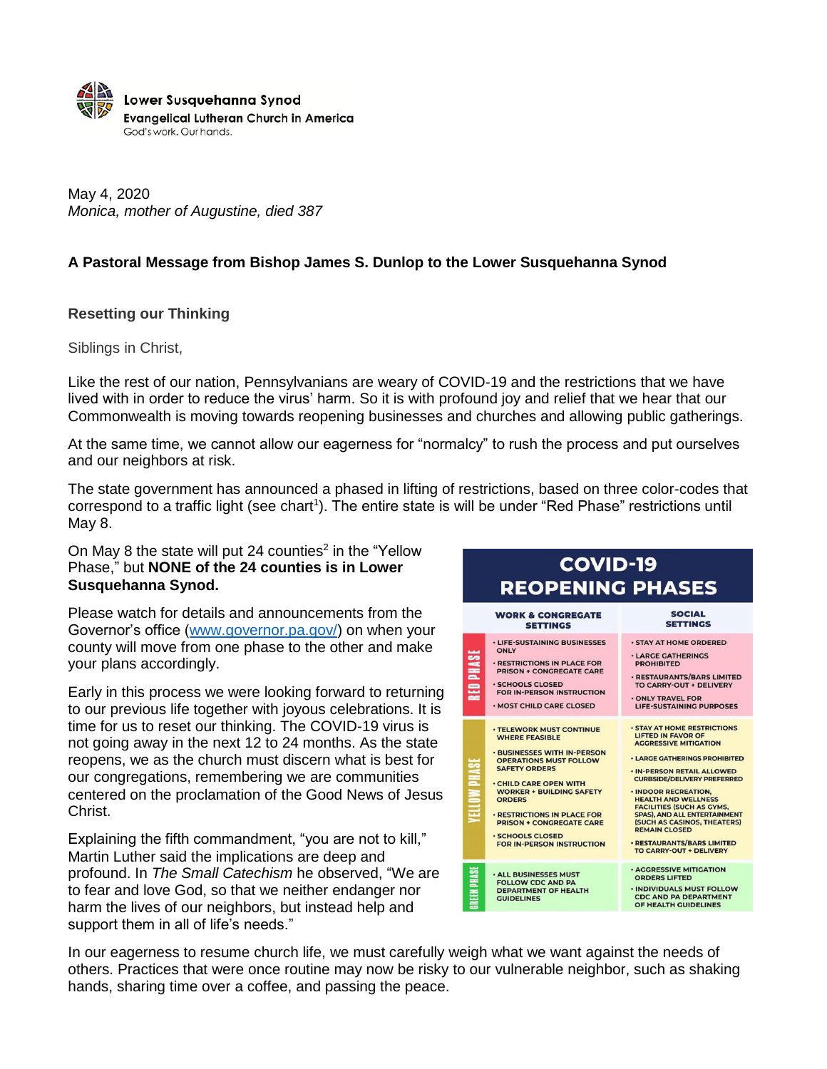

May 4, 2020 *Monica, mother of Augustine, died 387*

## **A Pastoral Message from Bishop James S. Dunlop to the Lower Susquehanna Synod**

### **Resetting our Thinking**

Siblings in Christ,

Like the rest of our nation, Pennsylvanians are weary of COVID-19 and the restrictions that we have lived with in order to reduce the virus' harm. So it is with profound joy and relief that we hear that our Commonwealth is moving towards reopening businesses and churches and allowing public gatherings.

At the same time, we cannot allow our eagerness for "normalcy" to rush the process and put ourselves and our neighbors at risk.

The state government has announced a phased in lifting of restrictions, based on three color-codes that correspond to a traffic light (see chart<sup>1</sup>). The entire state is will be under "Red Phase" restrictions until May 8.

### On May 8 the state will put 24 counties<sup>2</sup> in the "Yellow" Phase," but **NONE of the 24 counties is in Lower Susquehanna Synod.**

Please watch for details and announcements from the Governor's office [\(www.governor.pa.gov/\)](https://www.governor.pa.gov/) on when your county will move from one phase to the other and make your plans accordingly.

Early in this process we were looking forward to returning to our previous life together with joyous celebrations. It is time for us to reset our thinking. The COVID-19 virus is not going away in the next 12 to 24 months. As the state reopens, we as the church must discern what is best for our congregations, remembering we are communities centered on the proclamation of the Good News of Jesus Christ.

Explaining the fifth commandment, "you are not to kill," Martin Luther said the implications are deep and profound. In *The Small Catechism* he observed, "We are to fear and love God, so that we neither endanger nor harm the lives of our neighbors, but instead help and support them in all of life's needs."

#### SOCIAL **WORK & CONGREGATE SETTINGS SETTINGS** · LIFE-SUSTAINING BUSINESSES · STAY AT HOME ORDERED ONLY **PHASE** · LARGE GATHERINGS · RESTRICTIONS IN PLACE FOR **PROHIBITED PRISON + CONGREGATE CARE** · RESTAURANTS/BARS LIMITED SCHOOLS CLOSED 量 TO CARRY-OUT + DELIVERY FOR IN-PERSON INSTRUCTION .<br>ONLY TRAVEL FOR<br>LIFE-SUSTAINING PURPOSES · MOST CHILD CARE CLOSED **STAY AT HOME RESTRICTIONS** · TELEWORK MUST CONTINUE WHERE FEASIBLE **LIFTED IN FAVOR OF AGGRESSIVE MITIGATION BUSINESSES WITH IN-PERSON . LARGE GATHERINGS PROHIBITED** PHASE **OPERATIONS MUST FOLLOW SAFETY ORDERS** · IN-PERSON RETAIL ALLOWED **CURBSIDE/DELIVERY PREFERRED** .<br>CHILD CARE OPEN WITH<br>WORKER + BUILDING SAFETY **VELLOW** · INDOOR RECREATION, ORDERS HEALTH AND WELLNESS<br>FACILITIES (SUCH AS GYMS, FACILITIES (SUCH AS OTHS)<br>SPAS), AND ALL ENTERTAINMENT<br>(SUCH AS CASINOS, THEATERS)<br>REMAIN CLOSED · RESTRICTIONS IN PLACE FOR PRISON + CONGREGATE CARE **SCHOOLS CLOSED** FOR IN-PERSON INSTRUCTION · RESTAURANTS/BARS LIMITED **TO CARRY-OUT + DELIVERY AGGRESSIVE MITIGATION REEN PHAS ALL BUSINESSES MUST ORDERS LIFTED** FOLLOW CDC AND PA<br>DEPARTMENT OF HEALTH<br>GUIDELINES · INDIVIDUALS MUST FOLLOW CDC AND PA DEPARTMENT

**COVID-19 REOPENING PHASES** 

In our eagerness to resume church life, we must carefully weigh what we want against the needs of others. Practices that were once routine may now be risky to our vulnerable neighbor, such as shaking hands, sharing time over a coffee, and passing the peace.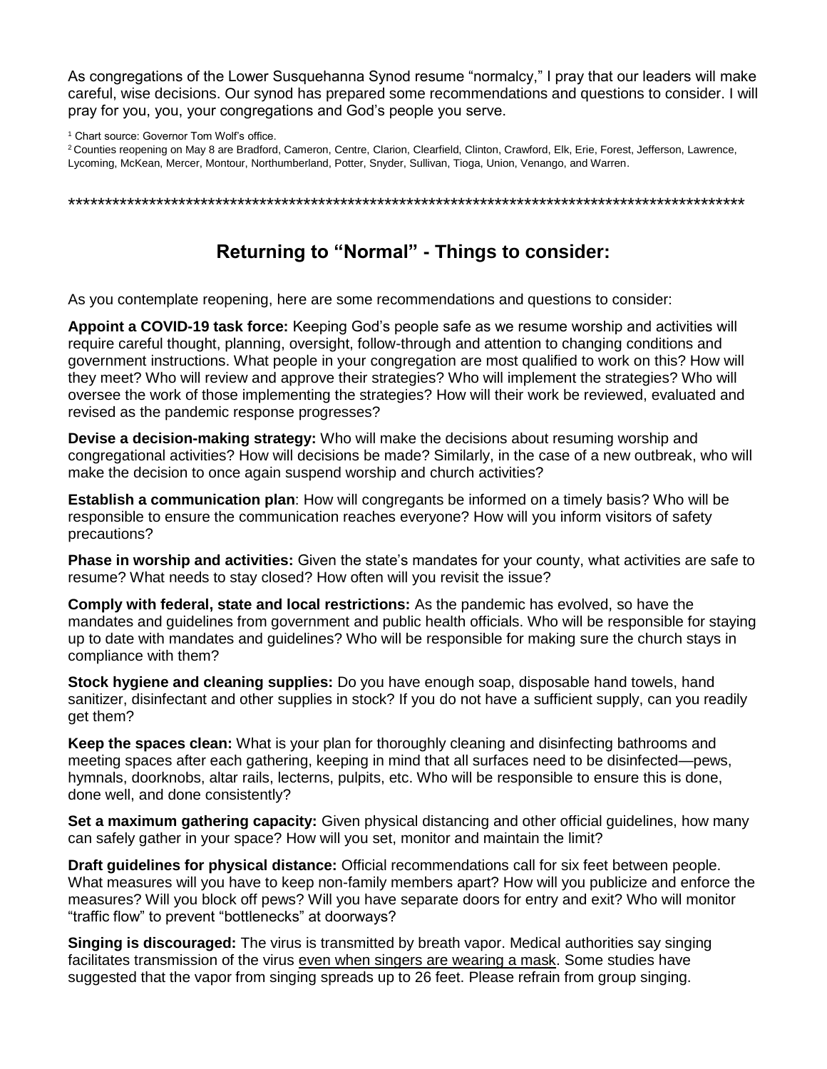As congregations of the Lower Susquehanna Synod resume "normalcy," I pray that our leaders will make careful, wise decisions. Our synod has prepared some recommendations and questions to consider. I will pray for you, you, your congregations and God's people you serve.

<sup>1</sup> Chart source: Governor Tom Wolf's office.

<sup>2</sup> Counties reopening on May 8 are Bradford, Cameron, Centre, Clarion, Clearfield, Clinton, Crawford, Elk, Erie, Forest, Jefferson, Lawrence, Lycoming, McKean, Mercer, Montour, Northumberland, Potter, Snyder, Sullivan, Tioga, Union, Venango, and Warren.

\*\*\*\*\*\*\*\*\*\*\*\*\*\*\*\*\*\*\*\*\*\*\*\*\*\*\*\*\*\*\*\*\*\*\*\*\*\*\*\*\*\*\*\*\*\*\*\*\*\*\*\*\*\*\*\*\*\*\*\*\*\*\*\*\*\*\*\*\*\*\*\*\*\*\*\*\*\*\*\*\*\*\*\*\*\*\*\*\*\*\*\*

# **Returning to "Normal" - Things to consider:**

As you contemplate reopening, here are some recommendations and questions to consider:

**Appoint a COVID-19 task force:** Keeping God's people safe as we resume worship and activities will require careful thought, planning, oversight, follow-through and attention to changing conditions and government instructions. What people in your congregation are most qualified to work on this? How will they meet? Who will review and approve their strategies? Who will implement the strategies? Who will oversee the work of those implementing the strategies? How will their work be reviewed, evaluated and revised as the pandemic response progresses?

**Devise a decision-making strategy:** Who will make the decisions about resuming worship and congregational activities? How will decisions be made? Similarly, in the case of a new outbreak, who will make the decision to once again suspend worship and church activities?

**Establish a communication plan**: How will congregants be informed on a timely basis? Who will be responsible to ensure the communication reaches everyone? How will you inform visitors of safety precautions?

**Phase in worship and activities:** Given the state's mandates for your county, what activities are safe to resume? What needs to stay closed? How often will you revisit the issue?

**Comply with federal, state and local restrictions:** As the pandemic has evolved, so have the mandates and guidelines from government and public health officials. Who will be responsible for staying up to date with mandates and guidelines? Who will be responsible for making sure the church stays in compliance with them?

**Stock hygiene and cleaning supplies:** Do you have enough soap, disposable hand towels, hand sanitizer, disinfectant and other supplies in stock? If you do not have a sufficient supply, can you readily get them?

**Keep the spaces clean:** What is your plan for thoroughly cleaning and disinfecting bathrooms and meeting spaces after each gathering, keeping in mind that all surfaces need to be disinfected—pews, hymnals, doorknobs, altar rails, lecterns, pulpits, etc. Who will be responsible to ensure this is done, done well, and done consistently?

**Set a maximum gathering capacity:** Given physical distancing and other official guidelines, how many can safely gather in your space? How will you set, monitor and maintain the limit?

**Draft guidelines for physical distance:** Official recommendations call for six feet between people. What measures will you have to keep non-family members apart? How will you publicize and enforce the measures? Will you block off pews? Will you have separate doors for entry and exit? Who will monitor "traffic flow" to prevent "bottlenecks" at doorways?

**Singing is discouraged:** The virus is transmitted by breath vapor. Medical authorities say singing facilitates transmission of the virus even when singers are wearing a mask. Some studies have suggested that the vapor from singing spreads up to 26 feet. Please refrain from group singing.